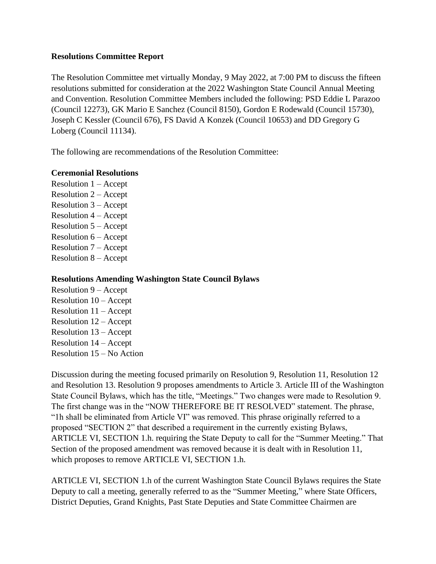## **Resolutions Committee Report**

The Resolution Committee met virtually Monday, 9 May 2022, at 7:00 PM to discuss the fifteen resolutions submitted for consideration at the 2022 Washington State Council Annual Meeting and Convention. Resolution Committee Members included the following: PSD Eddie L Parazoo (Council 12273), GK Mario E Sanchez (Council 8150), Gordon E Rodewald (Council 15730), Joseph C Kessler (Council 676), FS David A Konzek (Council 10653) and DD Gregory G Loberg (Council 11134).

The following are recommendations of the Resolution Committee:

## **Ceremonial Resolutions**

Resolution 1 – Accept Resolution 2 – Accept Resolution 3 – Accept Resolution 4 – Accept Resolution 5 – Accept Resolution 6 – Accept Resolution 7 – Accept Resolution 8 – Accept

## **Resolutions Amending Washington State Council Bylaws**

Resolution 9 – Accept Resolution 10 – Accept Resolution 11 – Accept Resolution 12 – Accept Resolution 13 – Accept Resolution 14 – Accept Resolution 15 – No Action

Discussion during the meeting focused primarily on Resolution 9, Resolution 11, Resolution 12 and Resolution 13. Resolution 9 proposes amendments to Article 3. Article III of the Washington State Council Bylaws, which has the title, "Meetings." Two changes were made to Resolution 9. The first change was in the "NOW THEREFORE BE IT RESOLVED" statement. The phrase, "1h shall be eliminated from Article VI" was removed. This phrase originally referred to a proposed "SECTION 2" that described a requirement in the currently existing Bylaws, ARTICLE VI, SECTION 1.h. requiring the State Deputy to call for the "Summer Meeting." That Section of the proposed amendment was removed because it is dealt with in Resolution 11, which proposes to remove ARTICLE VI, SECTION 1.h.

ARTICLE VI, SECTION 1.h of the current Washington State Council Bylaws requires the State Deputy to call a meeting, generally referred to as the "Summer Meeting," where State Officers, District Deputies, Grand Knights, Past State Deputies and State Committee Chairmen are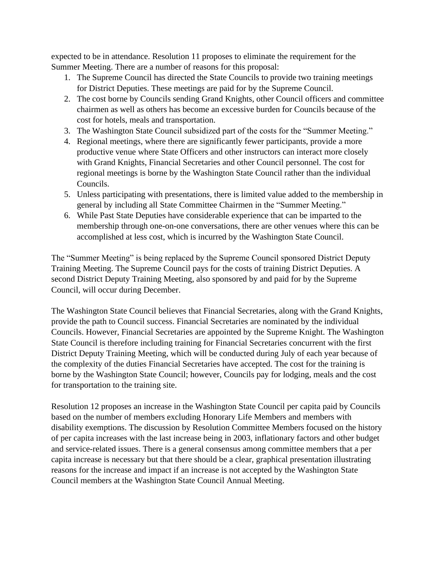expected to be in attendance. Resolution 11 proposes to eliminate the requirement for the Summer Meeting. There are a number of reasons for this proposal:

- 1. The Supreme Council has directed the State Councils to provide two training meetings for District Deputies. These meetings are paid for by the Supreme Council.
- 2. The cost borne by Councils sending Grand Knights, other Council officers and committee chairmen as well as others has become an excessive burden for Councils because of the cost for hotels, meals and transportation.
- 3. The Washington State Council subsidized part of the costs for the "Summer Meeting."
- 4. Regional meetings, where there are significantly fewer participants, provide a more productive venue where State Officers and other instructors can interact more closely with Grand Knights, Financial Secretaries and other Council personnel. The cost for regional meetings is borne by the Washington State Council rather than the individual Councils.
- 5. Unless participating with presentations, there is limited value added to the membership in general by including all State Committee Chairmen in the "Summer Meeting."
- 6. While Past State Deputies have considerable experience that can be imparted to the membership through one-on-one conversations, there are other venues where this can be accomplished at less cost, which is incurred by the Washington State Council.

The "Summer Meeting" is being replaced by the Supreme Council sponsored District Deputy Training Meeting. The Supreme Council pays for the costs of training District Deputies. A second District Deputy Training Meeting, also sponsored by and paid for by the Supreme Council, will occur during December.

The Washington State Council believes that Financial Secretaries, along with the Grand Knights, provide the path to Council success. Financial Secretaries are nominated by the individual Councils. However, Financial Secretaries are appointed by the Supreme Knight. The Washington State Council is therefore including training for Financial Secretaries concurrent with the first District Deputy Training Meeting, which will be conducted during July of each year because of the complexity of the duties Financial Secretaries have accepted. The cost for the training is borne by the Washington State Council; however, Councils pay for lodging, meals and the cost for transportation to the training site.

Resolution 12 proposes an increase in the Washington State Council per capita paid by Councils based on the number of members excluding Honorary Life Members and members with disability exemptions. The discussion by Resolution Committee Members focused on the history of per capita increases with the last increase being in 2003, inflationary factors and other budget and service-related issues. There is a general consensus among committee members that a per capita increase is necessary but that there should be a clear, graphical presentation illustrating reasons for the increase and impact if an increase is not accepted by the Washington State Council members at the Washington State Council Annual Meeting.